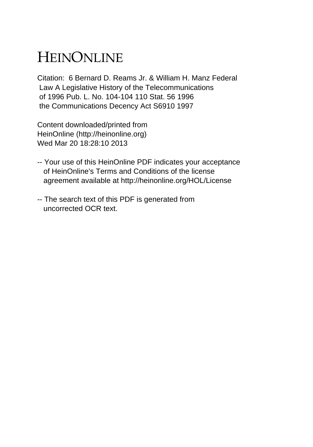# HEINONLINE

Citation: 6 Bernard D. Reams Jr. & William H. Manz Federal Law A Legislative History of the Telecommunications of 1996 Pub. L. No. 104-104 110 Stat. 56 1996 the Communications Decency Act S6910 1997

Content downloaded/printed from HeinOnline (http://heinonline.org) Wed Mar 20 18:28:10 2013

- -- Your use of this HeinOnline PDF indicates your acceptance of HeinOnline's Terms and Conditions of the license agreement available at http://heinonline.org/HOL/License
- -- The search text of this PDF is generated from uncorrected OCR text.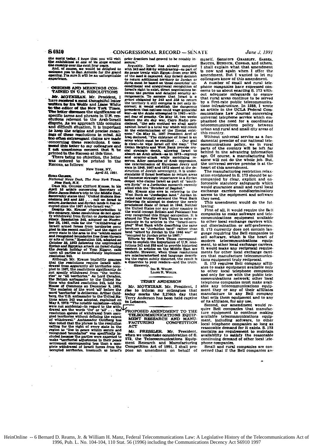avnada

the world teday, i hope that you will visit<br>the exhibitions at one of its stops around

the causing as the next four years.<br>And, of course, we would be delighed to welcome your the next four years.<br>And, of course, we would be delighed to welcome you to San Antonio for the grand opening. The sum of R will be a

 $\mathbb{R}^2$ ORIGINS AND MEANINGS CON-TAINED IN U.N. RESOLUTIONS

Mr. MOYNHAN. Mr. President, I mu. mutuan mutuan mutuan de l'argentina i have received a most thoughtful letter<br>written by fra Wolfe and Linne White<br>to the editor of the New York Theories<br>The lotter disousses the significance of specific terms and phrases in U.N. resolutions relevant to the Arab-Israeli dispute. As we approach this complex<br>and difficult situation, it is important to keep the origins and precise meantoo often extravagant claims are made mend this letter to my colleagues and<br>I ask unanimous consent that it be printed in the RECORD at this time.

There help no objection, the letter<br>was ordered to be printed in the RECORD, as follows:

## NEW YORK, NY.<br>April 22, 1991.

n G National News Desk, The New York Times.

New York N V From Ms, Gounce: Clifford Krauss, in his<br>April 16 article concerning Secretary of<br>State Assns Bakre's trip to the Middle Exat,<br>factory states that "United Nations Res-<br>relating 342 and 335 ... call on Exat to the<br>state rel

cupied since the 1967 Arab-Israeli war."<br>
Cupied since the 1967 Arab-Israeli war."<br>
Despite Mr. Krauss' characterization to<br>
the contexty, these resolutions do not specific the<br>
fly withdrawal from Syrian or Jordanian term resolution 747

reachition 242<br>
Michough Mr. Krauss implicitly assumes<br>
that the resolutions require Israell with<br>
drawal from apparently all territories cocanons<br>
pied in 1987, the resolutions significantly do<br>
not specify withdrawal fro Figs" or "all terriforms." As ford Caractering the British ambassador to the United Rabital Rabital models of the words in the moment of the word and the word with the moment of the word "are the moment" word "all the wor plete withdrawal of Israeli forces from the<br>plete withdrawal of Israeli forces from the<br>occupied territories, inasmuch as Israel's

orior frantiers had proved to be notably in-

secure."<br>
Arguably, Israel has already complied<br>
with 242 and 338 by withdrawing--as part of<br>
its peace treaty with Egypt-from over 90%<br>
of the land it captured. Any Israeli decision<br>
to return additional territory to Jord of the lead is captured, any is<br>real in change and the control of the lead in the capture decision of<br>the recent additional deriviery to Jordan or Syria must be based on those countries' unconducted<br>in the capture of the struction of Jewish sovereignty, it is under-<br>standable if Israel hesitates to return areas scalarious is since accounted to a Syrian area of immense strategic importance to a Syrian<br>despot who claims Israel as part of "south-<br>era Syria" or a Javannian monarch recently<br>allied with the "Butcher of Bagdad."

ancu was also errs in referring to the West Bank as "Jordan land." Jordan in-<br>West Bank as "Jordan land." Jordan in-<br>vaded and brutally annexed the West Bank<br>following its attempt to destroy the newly<br>proclaimed State of I stromanes State of the United States for any other country in<br>the United States for any other country in<br>the world (except Britain and Pakistan) has<br>ever recognized this Illegal occupation. It is

ever recognized this filegal occupation. It is a<br>basin of The New York Times to refer re-<br>readily in the activity of the "Israeli-occupation" West Bank while describing the same<br>determination of the terminal value of the t ing the region subtly distorted, the result is service to your readers.<br>Sincerely, ed, the result is<br>**-and the truth** 

IRA B. WOLFF.<br>LIANE R. WHITE.

## **TERRY ANDERSON**

Mr. MOYNIHAN. Mr. President, I rise to inform my colleagues that<br>today marks the 2,270th day that Terry Anderson has been held captive in Lebanon.

**FROPOSED AMENDMENT TO THE<br>TELECOMMUNICATIONS EQUIP-<br>MENT RESEARCH AND MANU.<br>FACTURING COMPETITION** ACT

Mr. PRESSLER. Mr. President. when we undertake consideration of S.<br>173. the Telecommunications Equipment Research and Manufacturing<br>Competition Act of 1991, I shall pro-<br>pose an amendment on behalf of

myself. Senators GRASSLEY, SASSER. BAUCUS, BURDICK, CONRAD, and others. shall explain what that amendment is now and again when I offer the<br>amendment. But I wanted to let my<br>colleagues know of this amendment.

A number of small and rural telephone companies have expressed concerns to us about enacting S. 173 with-<br>out adequate safeguards to ensure that rural areas continue to be served by a first-rate public telecommunications infrastructure. In 1988, I wrote<br>tions infrastructure. In 1988, I wrote munications Law Journal concerning universal telephone service which emphasized the need for a coordinated telecommunications policy between<br>urban and rural and small city areas of this country.

Without universal service as a fundamental premise of our national telecommunications policy, we in runo<br>amendant premise of communications policy, we in rural<br>parts of the country will be left far<br>behind in the advancing information<br>age. Of course, a manufacturing bill<br>alone will not do the the universal service premise is at the heart of this amendment.

The manufacturing restriction relaxation envisioned in S. 173 should be accompanied by clear, explicit and enforceable statutory safeguards which would guarantee small and rural local exchange carriers nondiscriminatory access to the equipment and software they need.

This amendment would do the following:

First of all, it would require the Bell companies to make software and telecommunications equipment available to other local exchange carriers with-<br>out discrimination or self-preference. out user-minimation or self-preterient.<br>
S. 173 currently does not contain lan-<br>
guage requiring the Bell companies to<br>
self software, which is the heart of<br>
modern telecommunications equipment, to other local exchange carriers. It would make any reciprocal require-<br>ments for other local exchange carriers that manufacture telecommunications equipment truly reciprocal.

S. 173 requires Bell company affili-<br>ates to make equipment available only to other local telephone companies<br>and only for use with the public telecommunications network; other local<br>telephone companies must make availexploration relations and and the argument they or any of their affiliates<br>manufacture to any Bell company that sells them equipment and to any<br>of its affiliates, for any use.

Second, our amendment would require Bell companies that manufacquie equipment to continue making<br>available telecommunications equipment, including software, to other<br>near, including software, to other<br>local telephone companies so long as reasonable demand for it exists. S 173 contains no requirement to maintain availability to satisfy the reasonable<br>continuing demand of other local telehone companies.

Small and rural companies are concerned that if the Bell companies are

×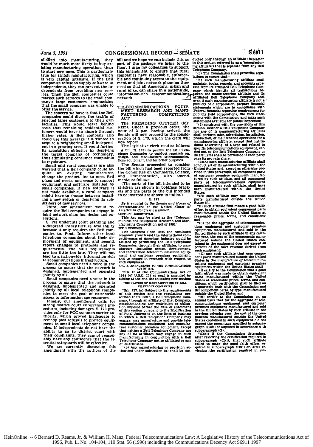comparison that the property source in the distribution of the interior included in the interior in the properties. Then and dependents from providing new serv- rural alike, can share in a nationwide, these customers in th market such services to the small com- network. **\_. affiliated Bell** Telephone Company and.

 $\mathbb{R}^2$ 

selected large customers to their own<br>costs that remaining residential cus-<br>costs that remaining residential cus-<br>costs that remaining residential cus-<br>REDD. Under a previous order, the<br>tomers would have to absorb through excluding a neighboring small independ. how report.<br>acquire a neighboring small independ. how report.<br>ent in a growing area. It could further interest and as follows: tional advertising, of a type not related to<br>ent in a g Fit in a growning area of the specific the specific telecommunications equipment, car-<br>the target company of technology, phone Companies to conduct research on, its affiliates shall be permitted if<br>the target company of te thus stimulating consumer complaints cosation equipment, and for other purposes.<br>
to regulators. **(3)(A)** such manufacturing affiliate shall

quire an existing manufacturer, the Committee on Commerce, Science, vided in this paragraph, all component parts<br>change the product line to meet Bell and Transportation, with amend- tured by such affiliate, and all compone quire an existing manufacturer, the Committee on Commerce, Science, vided in this paragraph, all component parts<br>change the product line to meet Bell and Transportation, with amend-<br>of cistomer premises equipment and negti equipment and sortware instanted or the parts of the bill intended brack-<br>small companies. If new software is stricken are shown in boldface brack-<br>not made available, a rural company ets and the parts of the bill intended ng a new switch or depriving its sub-<br>
scribers of new services.<br>
Be it enacted by the Senate and House of States if

Small companies need a voice in the sec. a MENDMENTS TO THE COMMUNICATIONS equipment within the United States shall-<br>process to assure that the network is to a security of the communications of the connuision that a good

designed, implemented and operated<br>jointly by all local telephone comps- "SEC. 227. (a) Subject to the requirements list component parts, by type, manufactured<br>jointly by all local telephone comps- "SEC. 227. (a) Subject t

allo<sup>r</sup>ied into manufacturing, they bill and we hope we can include this as ducted only through an affiliate (hereafter<br>would be much more likely to buy ex- part of the package we bring to the <sup>in</sup> this section referred to and be much more likely to buy ex-<br>part of the package we bring to the in this section referred to as a "manufacturity<br>sting manufacturing operations than floor. I urge my colleagues to support ing affiliate' that is sepa companies refuse to supply software to ment and joint network planning they maintain books, records, and accounts separately related by the separate of the separate separately independents, they can prevent the in- need so

higher rates. **A** Bell company **also** Senate will now proceed to the consid- shall perform sales, advertising. installation.

Small and rural companies are also The Senate proceeded to consider conduct all of its manufacturing within the worried that a Bell company could ac-<br>worried that a Bell company could ac-<br>the bill which had been reported f

stricken are shown in boldface brack-<br>ets and the parts of the bill intended

Et it enacted by the Senate and House of States if—<br>Third, our amendment would re- Representatives of the United States of "(i) such affiliate first makes a good faith<br>quire the Bell companies to engage in America in Congr

erations.<br>
This Act may be cited as the "Telecom-<br>
reading prices, terms, and conditions.<br>
S. 173 undercuts joint planning and multations Equipment Research and Man-<br>
widespread infrastructure availability sec. 1 Find Men-

panies to: First, Inform other local economic growth and the international com-<br>dar year, the cost of the components about their de-<br>periodic dar year, the cost of the components manu-<br>telephone companies about their de-<br>p report changes to protocols and re-Companies, through their affiliates, to man- percent of the sales revenue derived from<br>the regular members. The bill's requirements. The bill's requirements ufacture (including design, de

iointly by all.<br>Sime in the solution of the following new section: States at react within the United<br>Small companies need a voice in the solution and the companies of the Sales at reasonable prices<br>Distance in the solution

The store and the goal of nationwide of this section and the regulations pre- outside the United States, and<br>the state of the scaling of this section and the regulations pre- outside the United States, and<br>access to infor thority, which proved inadequate to in which a Bell Telephone Company may ponents manufactured outside the United<br>remedy past refusals to provide equip-engage, may manufacture and provide tele- States contained in such equ nies. If independents do not have the ture customer premises equipment, except graph (B)(ii) or adjusted in accordance with<br>their complaints, they cannot result with that neither a Bell Telephone Company nor subparagraph ( thority, which proved inadequate to in which a Bell Telephone Company may ponents manufactured outside the United remeay past refined yast methanic methanic methanic methanic methanic methanic methanic methanic methanic me

pany's large customers, emphasizing<br>pany's large customers, emphasizing the minute in other manufations and<br>offer the small company was unable to TELECOMMUNICATIONS EQUIP-<br>attemnts which are in complaine with the service.<br>

could use the interverse in the could use the could use the interverse operations for a neutron of **S. 173,** which the clerk will production, or maintenance operations for a<br>now report. It is not related to the communicati

Third, our amendment would re-<br>
Representatives of the United States of "(i) such affiliate first makes a good faith<br>
quire the Bell companies to engage in America in Congress assembled,<br>
nanufactured within the United Sta

or its annuates.<br>We are currently discussing this "cb Any manufacturing or provision au-<br>amendment with the authors of the thorized under subsection (a) shall be con- viewing the certification required in sub-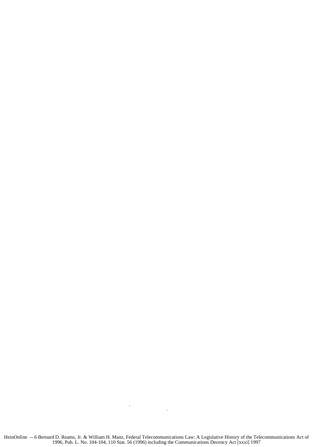HeinOnline -- 6 Bernard D. Reams, Jr. & William H. Manz, Federal Telecommunications Law: A Legislative History of the Telecommunications Act of 1996, Pub. L. No. 104-104, 110 Stat. 56 (1996) including the Communications Decency Act [xxxi] 1997

 $\ddot{\phantom{a}}$ 

 $\bar{z}$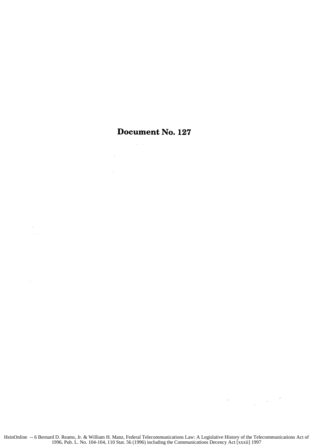# Document No. **127**

 $\sim 10^{-1}$  k

 $\mathcal{L}^{\text{max}}_{\text{max}}$ 

 $\sim$ 

 $\sim$  $\sim 10^{11}$ 

 $\sim 10^{-1}$ 

 $\label{eq:2.1} \frac{1}{\sqrt{2}}\int_{\mathbb{R}^3}\frac{1}{\sqrt{2}}\left(\frac{1}{\sqrt{2}}\right)^2\frac{1}{\sqrt{2}}\left(\frac{1}{\sqrt{2}}\right)^2\frac{1}{\sqrt{2}}\left(\frac{1}{\sqrt{2}}\right)^2\frac{1}{\sqrt{2}}\left(\frac{1}{\sqrt{2}}\right)^2\frac{1}{\sqrt{2}}\left(\frac{1}{\sqrt{2}}\right)^2\frac{1}{\sqrt{2}}\left(\frac{1}{\sqrt{2}}\right)^2\frac{1}{\sqrt{2}}\left(\frac{1}{\sqrt{2}}\right)^2\frac{1}{\sqrt{$